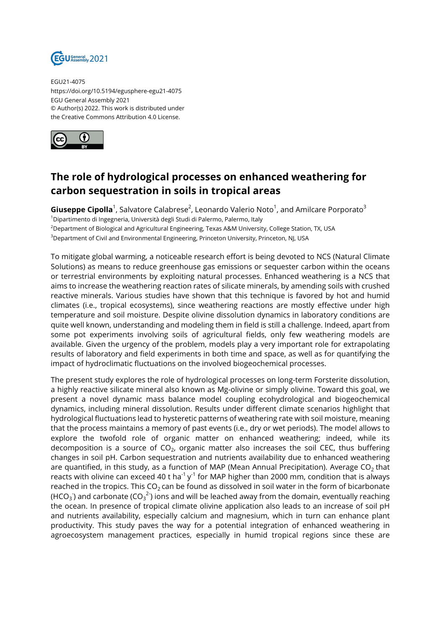

EGU21-4075 https://doi.org/10.5194/egusphere-egu21-4075 EGU General Assembly 2021 © Author(s) 2022. This work is distributed under the Creative Commons Attribution 4.0 License.



## **The role of hydrological processes on enhanced weathering for carbon sequestration in soils in tropical areas**

**Giuseppe Cipolla**<sup>1</sup>, Salvatore Calabrese<sup>2</sup>, Leonardo Valerio Noto<sup>1</sup>, and Amilcare Porporato<sup>3</sup> <sup>1</sup>Dipartimento di Ingegneria, Università degli Studi di Palermo, Palermo, Italy <sup>2</sup>Department of Biological and Agricultural Engineering, Texas A&M University, College Station, TX, USA <sup>3</sup>Department of Civil and Environmental Engineering, Princeton University, Princeton, NJ, USA

To mitigate global warming, a noticeable research effort is being devoted to NCS (Natural Climate Solutions) as means to reduce greenhouse gas emissions or sequester carbon within the oceans or terrestrial environments by exploiting natural processes. Enhanced weathering is a NCS that aims to increase the weathering reaction rates of silicate minerals, by amending soils with crushed reactive minerals. Various studies have shown that this technique is favored by hot and humid climates (i.e., tropical ecosystems), since weathering reactions are mostly effective under high temperature and soil moisture. Despite olivine dissolution dynamics in laboratory conditions are quite well known, understanding and modeling them in field is still a challenge. Indeed, apart from some pot experiments involving soils of agricultural fields, only few weathering models are available. Given the urgency of the problem, models play a very important role for extrapolating results of laboratory and field experiments in both time and space, as well as for quantifying the impact of hydroclimatic fluctuations on the involved biogeochemical processes.

The present study explores the role of hydrological processes on long-term Forsterite dissolution, a highly reactive silicate mineral also known as Mg-olivine or simply olivine. Toward this goal, we present a novel dynamic mass balance model coupling ecohydrological and biogeochemical dynamics, including mineral dissolution. Results under different climate scenarios highlight that hydrological fluctuations lead to hysteretic patterns of weathering rate with soil moisture, meaning that the process maintains a memory of past events (i.e., dry or wet periods). The model allows to explore the twofold role of organic matter on enhanced weathering; indeed, while its decomposition is a source of CO<sub>2</sub>, organic matter also increases the soil CEC, thus buffering changes in soil pH. Carbon sequestration and nutrients availability due to enhanced weathering are quantified, in this study, as a function of MAP (Mean Annual Precipitation). Average CO<sub>2</sub> that reacts with olivine can exceed 40 t ha $^{\text{-1}}$  y $^{\text{-1}}$  for MAP higher than 2000 mm, condition that is always reached in the tropics. This  $CO<sub>2</sub>$  can be found as dissolved in soil water in the form of bicarbonate (HCO $_3$ ) and carbonate (CO $_3{}^2$ ) ions and will be leached away from the domain, eventually reaching the ocean. In presence of tropical climate olivine application also leads to an increase of soil pH and nutrients availability, especially calcium and magnesium, which in turn can enhance plant productivity. This study paves the way for a potential integration of enhanced weathering in agroecosystem management practices, especially in humid tropical regions since these are